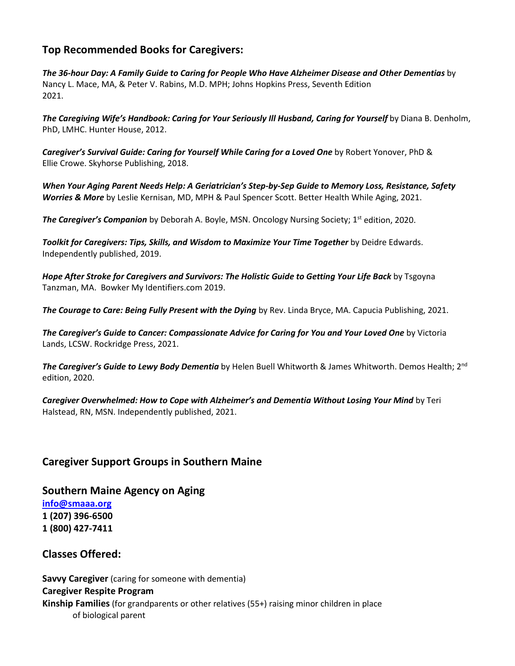# **Top Recommended Books for Caregivers:**

*The 36-hour Day: A Family Guide to Caring for People Who Have Alzheimer Disease and Other Dementias* by Nancy L. Mace, MA, & Peter V. Rabins, M.D. MPH; Johns Hopkins Press, Seventh Edition 2021.

The Caregiving Wife's Handbook: Caring for Your Seriously Ill Husband, Caring for Yourself by Diana B. Denholm, PhD, LMHC. Hunter House, 2012.

*Caregiver's Survival Guide: Caring for Yourself While Caring for a Loved One* by Robert Yonover, PhD & Ellie Crowe. Skyhorse Publishing, 2018.

*When Your Aging Parent Needs Help: A Geriatrician's Step-by-Sep Guide to Memory Loss, Resistance, Safety Worries & More* by Leslie Kernisan, MD, MPH & Paul Spencer Scott. Better Health While Aging, 2021.

**The Caregiver's Companion** by Deborah A. Boyle, MSN. Oncology Nursing Society; 1<sup>st</sup> edition, 2020.

*Toolkit for Caregivers: Tips, Skills, and Wisdom to Maximize Your Time Together* by Deidre Edwards. Independently published, 2019.

*Hope After Stroke for Caregivers and Survivors: The Holistic Guide to Getting Your Life Back* by Tsgoyna Tanzman, MA. Bowker My Identifiers.com 2019.

*The Courage to Care: Being Fully Present with the Dying* by Rev. Linda Bryce, MA. Capucia Publishing, 2021.

*The Caregiver's Guide to Cancer: Compassionate Advice for Caring for You and Your Loved One* by Victoria Lands, LCSW. Rockridge Press, 2021.

**The Caregiver's Guide to Lewy Body Dementia** by Helen Buell Whitworth & James Whitworth. Demos Health; 2<sup>nd</sup> edition, 2020.

*Caregiver Overwhelmed: How to Cope with Alzheimer's and Dementia Without Losing Your Mind* by Teri Halstead, RN, MSN. Independently published, 2021.

## **Caregiver Support Groups in Southern Maine**

**Southern Maine Agency on Aging**

**[info@smaaa.org](mailto:info@smaaa.org) 1 (207) 396-6500 1 (800) 427-7411**

#### **Classes Offered:**

**Savvy Caregiver** (caring for someone with dementia) **Caregiver Respite Program Kinship Families** (for grandparents or other relatives (55+) raising minor children in place of biological parent